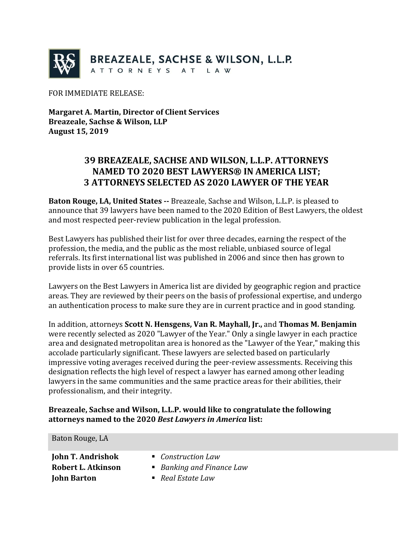

FOR IMMEDIATE RELEASE:

**Margaret A. Martin, Director of Client Services Breazeale, Sachse & Wilson, LLP August 15, 2019**

## **39 BREAZEALE, SACHSE AND WILSON, L.L.P. ATTORNEYS NAMED TO 2020 BEST LAWYERS® IN AMERICA LIST; 3 ATTORNEYS SELECTED AS 2020 LAWYER OF THE YEAR**

**Baton Rouge, LA, United States --** Breazeale, Sachse and Wilson, L.L.P. is pleased to announce that 39 lawyers have been named to the 2020 Edition of Best Lawyers, the oldest and most respected peer-review publication in the legal profession.

Best Lawyers has published their list for over three decades, earning the respect of the profession, the media, and the public as the most reliable, unbiased source of legal referrals. Its first international list was published in 2006 and since then has grown to provide lists in over 65 countries.

Lawyers on the Best Lawyers in America list are divided by geographic region and practice areas. They are reviewed by their peers on the basis of professional expertise, and undergo an authentication process to make sure they are in current practice and in good standing.

In addition, attorneys **Scott N. Hensgens, Van R. Mayhall, Jr.,** and **Thomas M. Benjamin** were recently selected as 2020 "Lawyer of the Year." Only a single lawyer in each practice area and designated metropolitan area is honored as the "Lawyer of the Year," making this accolade particularly significant. These lawyers are selected based on particularly impressive voting averages received during the peer-review assessments. Receiving this designation reflects the high level of respect a lawyer has earned among other leading lawyers in the same communities and the same practice areas for their abilities, their professionalism, and their integrity.

## **Breazeale, Sachse and Wilson, L.L.P. would like to congratulate the following attorneys named to the 2020** *Best Lawyers in America* **list:**

| Baton Rouge, LA          |                                |
|--------------------------|--------------------------------|
| <b>John T. Andrishok</b> | • Construction Law             |
| Robert L. Atkinson       | ■ Banking and Finance Law      |
| <b>John Barton</b>       | $\blacksquare$ Real Estate Law |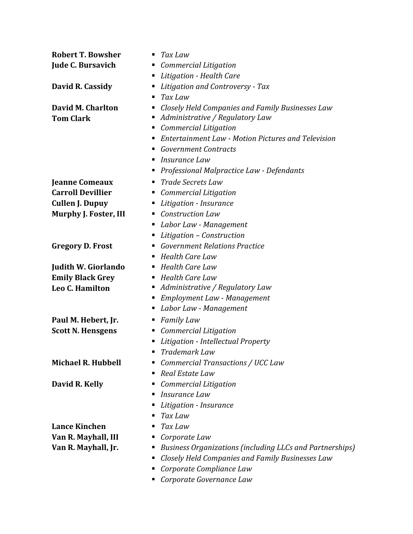| <b>Robert T. Bowsher</b>   | Tax Law<br>п                                              |  |
|----------------------------|-----------------------------------------------------------|--|
| <b>Jude C. Bursavich</b>   | Commercial Litigation<br>Е                                |  |
|                            | Litigation - Health Care                                  |  |
| David R. Cassidy           | Litigation and Controversy - Tax<br>Е                     |  |
|                            | Tax Law                                                   |  |
| David M. Charlton          | Closely Held Companies and Family Businesses Law<br>п     |  |
| <b>Tom Clark</b>           | Administrative / Regulatory Law<br>Е                      |  |
|                            | <b>Commercial Litigation</b><br>п                         |  |
|                            | <b>Entertainment Law - Motion Pictures and Television</b> |  |
|                            | <b>Government Contracts</b><br>п                          |  |
|                            | Insurance Law<br>п                                        |  |
|                            | Professional Malpractice Law - Defendants<br>Е            |  |
| <b>Jeanne Comeaux</b>      | <b>Trade Secrets Law</b><br>п                             |  |
| <b>Carroll Devillier</b>   | <b>Commercial Litigation</b><br>п                         |  |
| <b>Cullen J. Dupuy</b>     | Litigation - Insurance<br>Е                               |  |
| Murphy J. Foster, III      | <b>Construction Law</b><br>в                              |  |
|                            | Labor Law - Management<br>п                               |  |
|                            | Litigation - Construction<br>Е                            |  |
| <b>Gregory D. Frost</b>    | <b>Government Relations Practice</b>                      |  |
|                            | <b>Health Care Law</b><br>Е                               |  |
| <b>Judith W. Giorlando</b> | <b>Health Care Law</b><br>п                               |  |
| <b>Emily Black Grey</b>    | <b>Health Care Law</b><br>п                               |  |
| Leo C. Hamilton            | Administrative / Regulatory Law<br>п                      |  |
|                            | <b>Employment Law - Management</b><br>Е                   |  |
|                            | Labor Law - Management<br>Е                               |  |
| Paul M. Hebert, Jr.        | <b>Family Law</b><br>Е                                    |  |
| <b>Scott N. Hensgens</b>   | <b>Commercial Litigation</b><br>п                         |  |
|                            | Litigation - Intellectual Property<br>Е                   |  |
|                            | Trademark Law                                             |  |
| <b>Michael R. Hubbell</b>  | Commercial Transactions / UCC Law<br>Е                    |  |
|                            | Real Estate Law                                           |  |
| David R. Kelly             | <b>Commercial Litigation</b>                              |  |
|                            | Insurance Law<br>п                                        |  |
|                            | Litigation - Insurance                                    |  |
|                            | Tax Law                                                   |  |
| <b>Lance Kinchen</b>       | Tax Law                                                   |  |
| Van R. Mayhall, III        | Corporate Law                                             |  |
| Van R. Mayhall, Jr.        | Business Organizations (including LLCs and Partnerships)  |  |
|                            | Closely Held Companies and Family Businesses Law          |  |
|                            | Corporate Compliance Law                                  |  |

*Corporate Governance Law*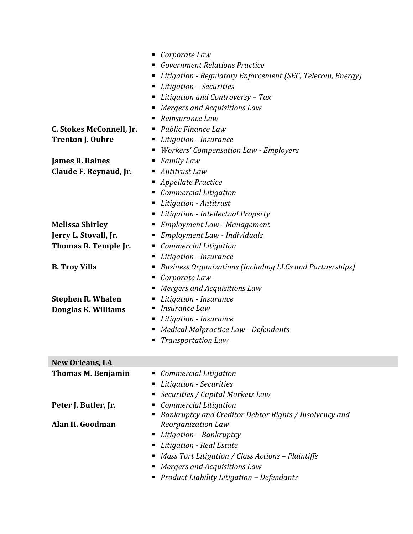|                           | Corporate Law<br>п.                                        |  |  |
|---------------------------|------------------------------------------------------------|--|--|
|                           | <b>Government Relations Practice</b>                       |  |  |
|                           | Litigation - Regulatory Enforcement (SEC, Telecom, Energy) |  |  |
|                           | ■ Litigation – Securities                                  |  |  |
|                           | Litigation and Controversy - Tax                           |  |  |
|                           | Mergers and Acquisitions Law                               |  |  |
|                           | Reinsurance Law                                            |  |  |
| C. Stokes McConnell, Jr.  | • Public Finance Law                                       |  |  |
| <b>Trenton J. Oubre</b>   | Litigation - Insurance<br>п                                |  |  |
|                           | <b>Workers' Compensation Law - Employers</b><br>п          |  |  |
| <b>James R. Raines</b>    | <b>Family Law</b>                                          |  |  |
| Claude F. Reynaud, Jr.    | Antitrust Law<br>ш                                         |  |  |
|                           | Appellate Practice                                         |  |  |
|                           | Commercial Litigation<br>ш                                 |  |  |
|                           | Litigation - Antitrust                                     |  |  |
|                           | Litigation - Intellectual Property                         |  |  |
| <b>Melissa Shirley</b>    | Employment Law - Management<br>ш                           |  |  |
| Jerry L. Stovall, Jr.     | Employment Law - Individuals<br>ш                          |  |  |
| Thomas R. Temple Jr.      | Commercial Litigation<br>ш                                 |  |  |
|                           | Litigation - Insurance<br>п                                |  |  |
| <b>B. Troy Villa</b>      | Business Organizations (including LLCs and Partnerships)   |  |  |
|                           | Corporate Law<br>ш                                         |  |  |
|                           | Mergers and Acquisitions Law                               |  |  |
| <b>Stephen R. Whalen</b>  | Litigation - Insurance                                     |  |  |
| Douglas K. Williams       | Insurance Law                                              |  |  |
|                           | Litigation - Insurance                                     |  |  |
|                           | Medical Malpractice Law - Defendants<br>ш                  |  |  |
|                           | <b>Transportation Law</b>                                  |  |  |
|                           |                                                            |  |  |
| <b>New Orleans, LA</b>    |                                                            |  |  |
| <b>Thomas M. Benjamin</b> | <b>Commercial Litigation</b>                               |  |  |
|                           | Litigation - Securities                                    |  |  |
|                           | Securities / Capital Markets Law                           |  |  |
| Peter J. Butler, Jr.      | <b>Commercial Litigation</b>                               |  |  |
|                           | Bankruptcy and Creditor Debtor Rights / Insolvency and     |  |  |
| Alan H. Goodman           | Reorganization Law                                         |  |  |
|                           | • Litigation - Bankruptcy                                  |  |  |
|                           | Litigation - Real Estate                                   |  |  |
|                           | Mass Tort Litigation / Class Actions - Plaintiffs          |  |  |
|                           | Mergers and Acquisitions Law                               |  |  |
|                           | • Product Liability Litigation - Defendants                |  |  |